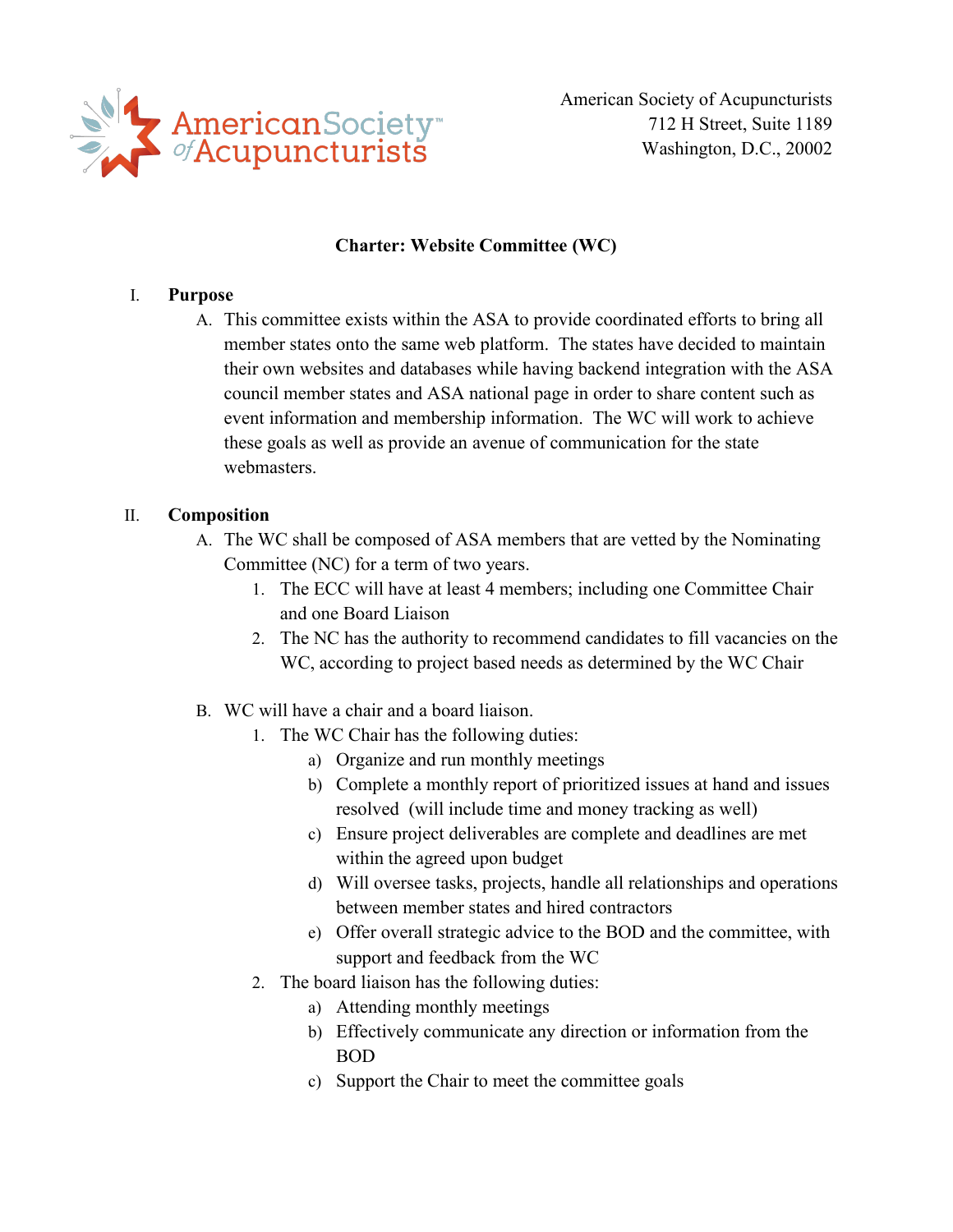

American Society of Acupuncturists 712 H Street, Suite 1189 Washington, D.C., 20002

### **Charter: Website Committee (WC)**

#### I. **Purpose**

A. This committee exists within the ASA to provide coordinated efforts to bring all member states onto the same web platform. The states have decided to maintain their own websites and databases while having backend integration with the ASA council member states and ASA national page in order to share content such as event information and membership information. The WC will work to achieve these goals as well as provide an avenue of communication for the state webmasters.

### II. **Composition**

- A. The WC shall be composed of ASA members that are vetted by the Nominating Committee (NC) for a term of two years.
	- 1. The ECC will have at least 4 members; including one Committee Chair and one Board Liaison
	- 2. The NC has the authority to recommend candidates to fill vacancies on the WC, according to project based needs as determined by the WC Chair
- B. WC will have a chair and a board liaison.
	- 1. The WC Chair has the following duties:
		- a) Organize and run monthly meetings
		- b) Complete a monthly report of prioritized issues at hand and issues resolved (will include time and money tracking as well)
		- c) Ensure project deliverables are complete and deadlines are met within the agreed upon budget
		- d) Will oversee tasks, projects, handle all relationships and operations between member states and hired contractors
		- e) Offer overall strategic advice to the BOD and the committee, with support and feedback from the WC
	- 2. The board liaison has the following duties:
		- a) Attending monthly meetings
		- b) Effectively communicate any direction or information from the BOD
		- c) Support the Chair to meet the committee goals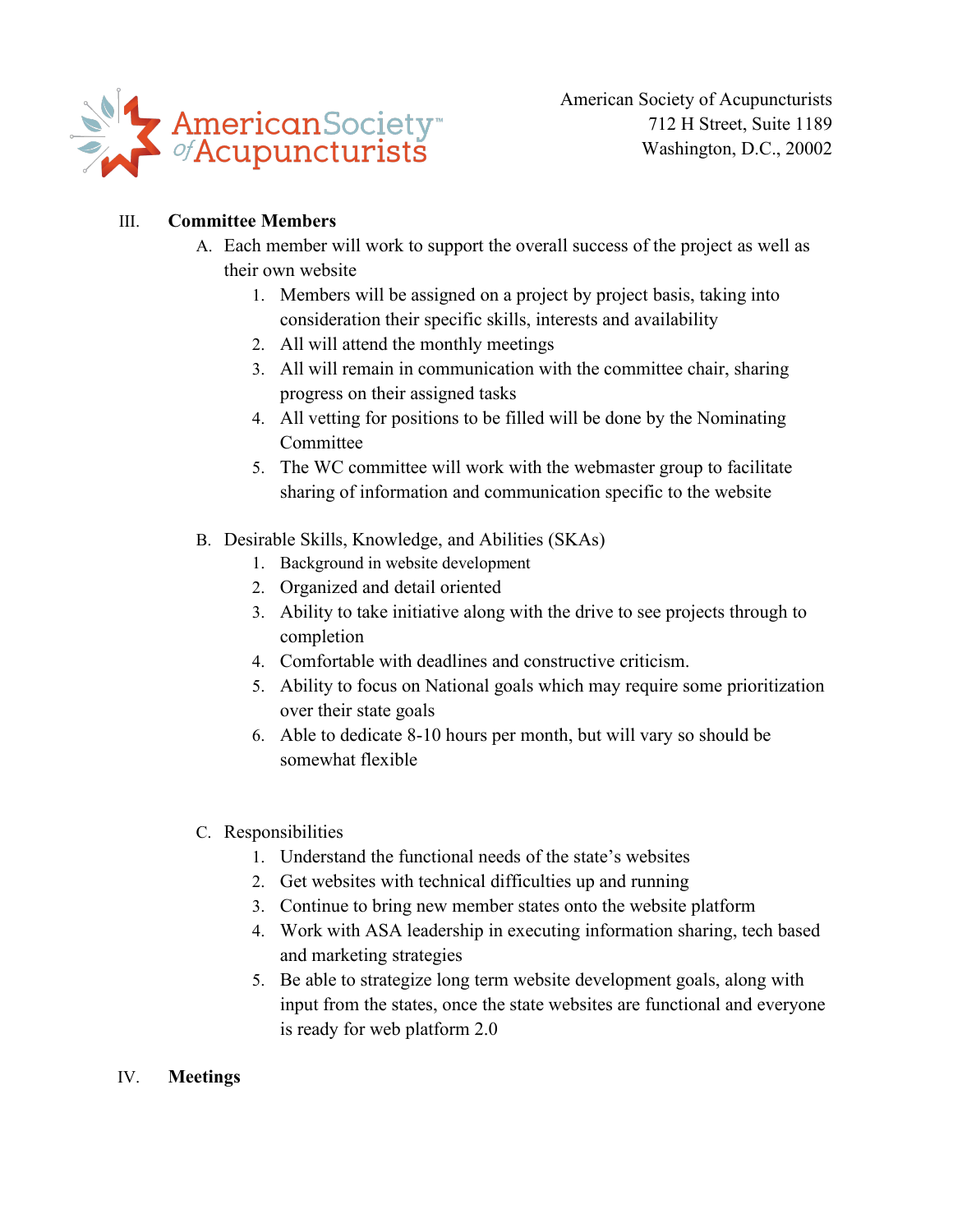

American Society of Acupuncturists 712 H Street, Suite 1189 Washington, D.C., 20002

## III. **Committee Members**

- A. Each member will work to support the overall success of the project as well as their own website
	- 1. Members will be assigned on a project by project basis, taking into consideration their specific skills, interests and availability
	- 2. All will attend the monthly meetings
	- 3. All will remain in communication with the committee chair, sharing progress on their assigned tasks
	- 4. All vetting for positions to be filled will be done by the Nominating Committee
	- 5. The WC committee will work with the webmaster group to facilitate sharing of information and communication specific to the website
- B. Desirable Skills, Knowledge, and Abilities (SKAs)
	- 1. Background in website development
	- 2. Organized and detail oriented
	- 3. Ability to take initiative along with the drive to see projects through to completion
	- 4. Comfortable with deadlines and constructive criticism.
	- 5. Ability to focus on National goals which may require some prioritization over their state goals
	- 6. Able to dedicate 8-10 hours per month, but will vary so should be somewhat flexible
- C. Responsibilities
	- 1. Understand the functional needs of the state's websites
	- 2. Get websites with technical difficulties up and running
	- 3. Continue to bring new member states onto the website platform
	- 4. Work with ASA leadership in executing information sharing, tech based and marketing strategies
	- 5. Be able to strategize long term website development goals, along with input from the states, once the state websites are functional and everyone is ready for web platform 2.0
- IV. **Meetings**